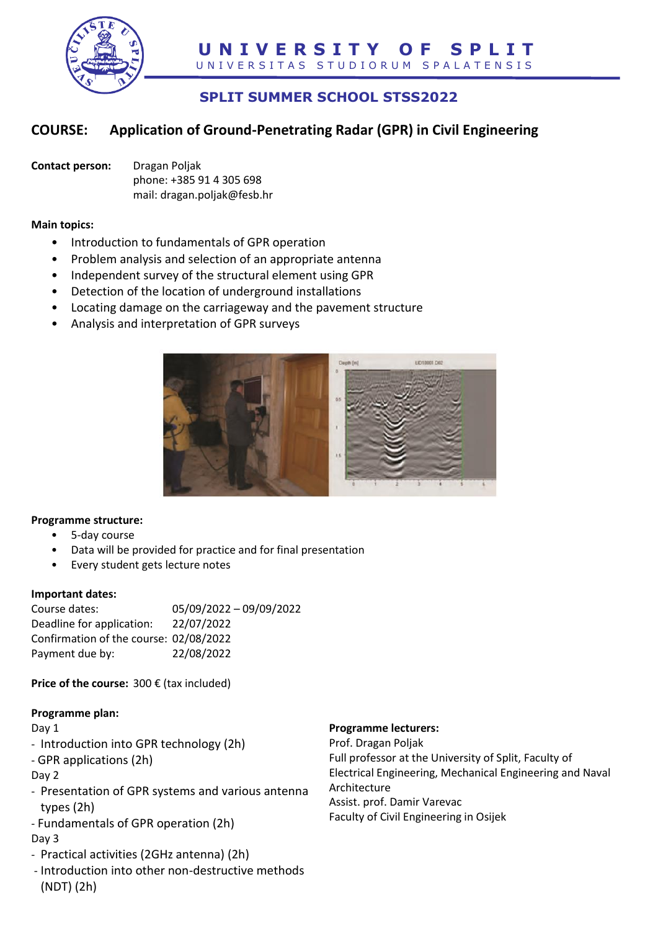

# **SPLIT SUMMER SCHOOL STSS2022**

## **COURSE: Application of Ground-Penetrating Radar (GPR) in Civil Engineering**

**Contact person:** Dragan Poljak phone: +385 91 4 305 698 mail: dragan.poljak@fesb.hr

#### **Main topics:**

- Introduction to fundamentals of GPR operation
- Problem analysis and selection of an appropriate antenna
- Independent survey of the structural element using GPR
- Detection of the location of underground installations
- Locating damage on the carriageway and the pavement structure
- Analysis and interpretation of GPR surveys



#### **Programme structure:**

- 5-day course
- Data will be provided for practice and for final presentation
- Every student gets lecture notes

### **Important dates:**

Course dates: 05/09/2022 – 09/09/2022 Deadline for application: 22/07/2022 Confirmation of the course: 02/08/2022 Payment due by: 22/08/2022

**Price of the course:** 300 € (tax included)

### **Programme plan:**

Day 1

- Introduction into GPR technology (2h)
- GPR applications (2h)

Day 2

- Presentation of GPR systems and various antenna types (2h)
- Fundamentals of GPR operation (2h) Day 3
- Practical activities (2GHz antenna) (2h)
- Introduction into other non-destructive methods (NDT) (2h)

### **Programme lecturers:**

Prof. Dragan Poljak Full professor at the University of Split, Faculty of Electrical Engineering, Mechanical Engineering and Naval Architecture Assist. prof. Damir Varevac Faculty of Civil Engineering in Osijek